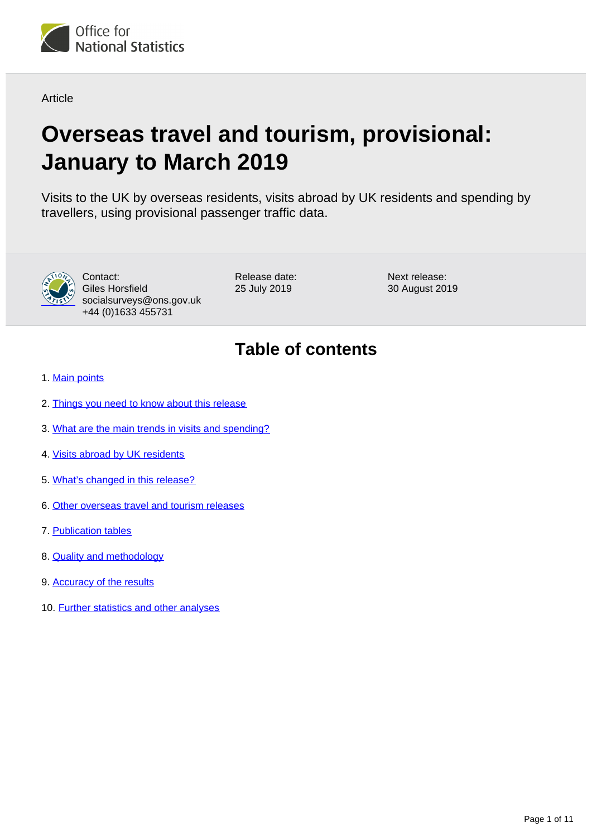

**Article** 

# **Overseas travel and tourism, provisional: January to March 2019**

Visits to the UK by overseas residents, visits abroad by UK residents and spending by travellers, using provisional passenger traffic data.



Contact: Giles Horsfield socialsurveys@ons.gov.uk +44 (0)1633 455731

Release date: 25 July 2019

Next release: 30 August 2019

## **Table of contents**

- 1. [Main points](#page-1-0)
- 2. [Things you need to know about this release](#page-1-1)
- 3. [What are the main trends in visits and spending?](#page-3-0)
- 4. [Visits abroad by UK residents](#page-5-0)
- 5. [What's changed in this release?](#page-6-0)
- 6. [Other overseas travel and tourism releases](#page-7-0)
- 7. [Publication tables](#page-7-1)
- 8. [Quality and methodology](#page-7-2)
- 9. [Accuracy of the results](#page-8-0)
- 10. [Further statistics and other analyses](#page-9-0)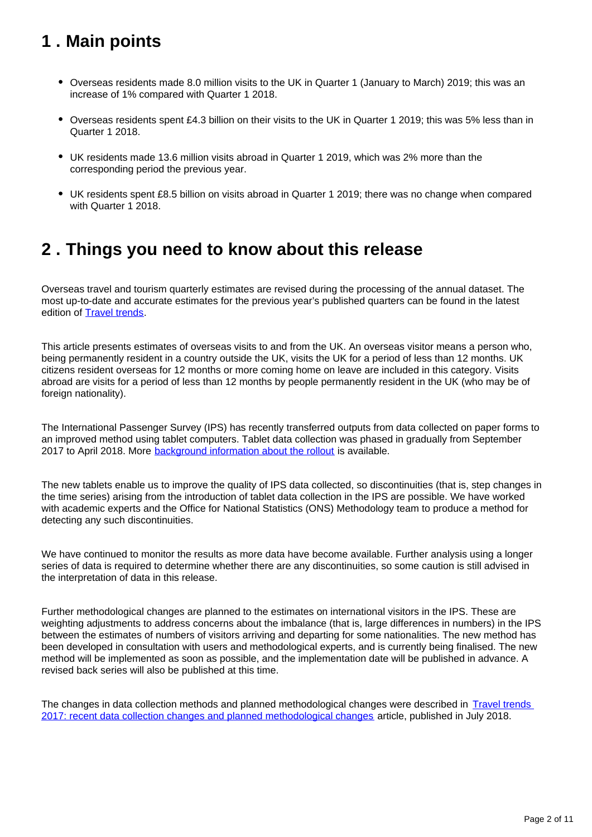## <span id="page-1-0"></span>**1 . Main points**

- Overseas residents made 8.0 million visits to the UK in Quarter 1 (January to March) 2019; this was an increase of 1% compared with Quarter 1 2018.
- Overseas residents spent £4.3 billion on their visits to the UK in Quarter 1 2019; this was 5% less than in Quarter 1 2018.
- UK residents made 13.6 million visits abroad in Quarter 1 2019, which was 2% more than the corresponding period the previous year.
- UK residents spent £8.5 billion on visits abroad in Quarter 1 2019; there was no change when compared with Quarter 1 2018.

### <span id="page-1-1"></span>**2 . Things you need to know about this release**

Overseas travel and tourism quarterly estimates are revised during the processing of the annual dataset. The most up-to-date and accurate estimates for the previous year's published quarters can be found in the latest edition of [Travel trends.](https://www.ons.gov.uk/peoplepopulationandcommunity/leisureandtourism/articles/traveltrends/2018)

This article presents estimates of overseas visits to and from the UK. An overseas visitor means a person who, being permanently resident in a country outside the UK, visits the UK for a period of less than 12 months. UK citizens resident overseas for 12 months or more coming home on leave are included in this category. Visits abroad are visits for a period of less than 12 months by people permanently resident in the UK (who may be of foreign nationality).

The International Passenger Survey (IPS) has recently transferred outputs from data collected on paper forms to an improved method using tablet computers. Tablet data collection was phased in gradually from September 2017 to April 2018. More **background information about the rollout** is available.

The new tablets enable us to improve the quality of IPS data collected, so discontinuities (that is, step changes in the time series) arising from the introduction of tablet data collection in the IPS are possible. We have worked with academic experts and the Office for National Statistics (ONS) Methodology team to produce a method for detecting any such discontinuities.

We have continued to monitor the results as more data have become available. Further analysis using a longer series of data is required to determine whether there are any discontinuities, so some caution is still advised in the interpretation of data in this release.

Further methodological changes are planned to the estimates on international visitors in the IPS. These are weighting adjustments to address concerns about the imbalance (that is, large differences in numbers) in the IPS between the estimates of numbers of visitors arriving and departing for some nationalities. The new method has been developed in consultation with users and methodological experts, and is currently being finalised. The new method will be implemented as soon as possible, and the implementation date will be published in advance. A revised back series will also be published at this time.

The changes in data collection methods and planned methodological changes were described in Travel trends [2017: recent data collection changes and planned methodological changes](https://www.ons.gov.uk/peoplepopulationandcommunity/leisureandtourism/articles/traveltrends2017recentdatacollectionchangesandplannedmethodologicalchanges/2018-07-20) article, published in July 2018.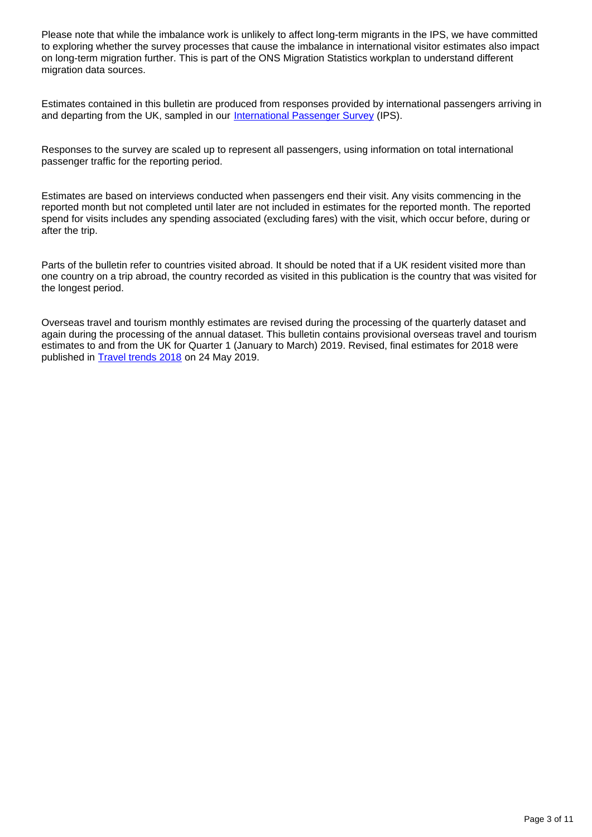Please note that while the imbalance work is unlikely to affect long-term migrants in the IPS, we have committed to exploring whether the survey processes that cause the imbalance in international visitor estimates also impact on long-term migration further. This is part of the ONS Migration Statistics workplan to understand different migration data sources.

Estimates contained in this bulletin are produced from responses provided by international passengers arriving in and departing from the UK, sampled in our [International Passenger Survey](http://www.ons.gov.uk/peoplepopulationandcommunity/leisureandtourism/qmis/internationalpassengersurveyipsqmi) (IPS).

Responses to the survey are scaled up to represent all passengers, using information on total international passenger traffic for the reporting period.

Estimates are based on interviews conducted when passengers end their visit. Any visits commencing in the reported month but not completed until later are not included in estimates for the reported month. The reported spend for visits includes any spending associated (excluding fares) with the visit, which occur before, during or after the trip.

Parts of the bulletin refer to countries visited abroad. It should be noted that if a UK resident visited more than one country on a trip abroad, the country recorded as visited in this publication is the country that was visited for the longest period.

Overseas travel and tourism monthly estimates are revised during the processing of the quarterly dataset and again during the processing of the annual dataset. This bulletin contains provisional overseas travel and tourism estimates to and from the UK for Quarter 1 (January to March) 2019. Revised, final estimates for 2018 were published in **[Travel trends 2018](https://www.ons.gov.uk/peoplepopulationandcommunity/leisureandtourism/articles/traveltrends/2018)** on 24 May 2019.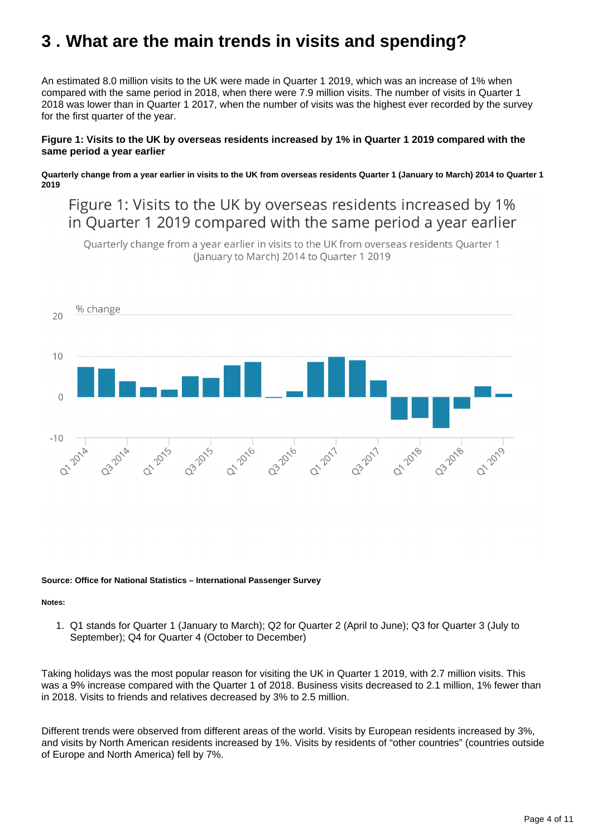## <span id="page-3-0"></span>**3 . What are the main trends in visits and spending?**

An estimated 8.0 million visits to the UK were made in Quarter 1 2019, which was an increase of 1% when compared with the same period in 2018, when there were 7.9 million visits. The number of visits in Quarter 1 2018 was lower than in Quarter 1 2017, when the number of visits was the highest ever recorded by the survey for the first quarter of the year.

#### **Figure 1: Visits to the UK by overseas residents increased by 1% in Quarter 1 2019 compared with the same period a year earlier**

**Quarterly change from a year earlier in visits to the UK from overseas residents Quarter 1 (January to March) 2014 to Quarter 1 2019**

Figure 1: Visits to the UK by overseas residents increased by 1% in Quarter 1 2019 compared with the same period a year earlier

Quarterly change from a year earlier in visits to the UK from overseas residents Quarter 1 (January to March) 2014 to Quarter 1 2019



#### **Source: Office for National Statistics – International Passenger Survey**

#### **Notes:**

1. Q1 stands for Quarter 1 (January to March); Q2 for Quarter 2 (April to June); Q3 for Quarter 3 (July to September); Q4 for Quarter 4 (October to December)

Taking holidays was the most popular reason for visiting the UK in Quarter 1 2019, with 2.7 million visits. This was a 9% increase compared with the Quarter 1 of 2018. Business visits decreased to 2.1 million, 1% fewer than in 2018. Visits to friends and relatives decreased by 3% to 2.5 million.

Different trends were observed from different areas of the world. Visits by European residents increased by 3%, and visits by North American residents increased by 1%. Visits by residents of "other countries" (countries outside of Europe and North America) fell by 7%.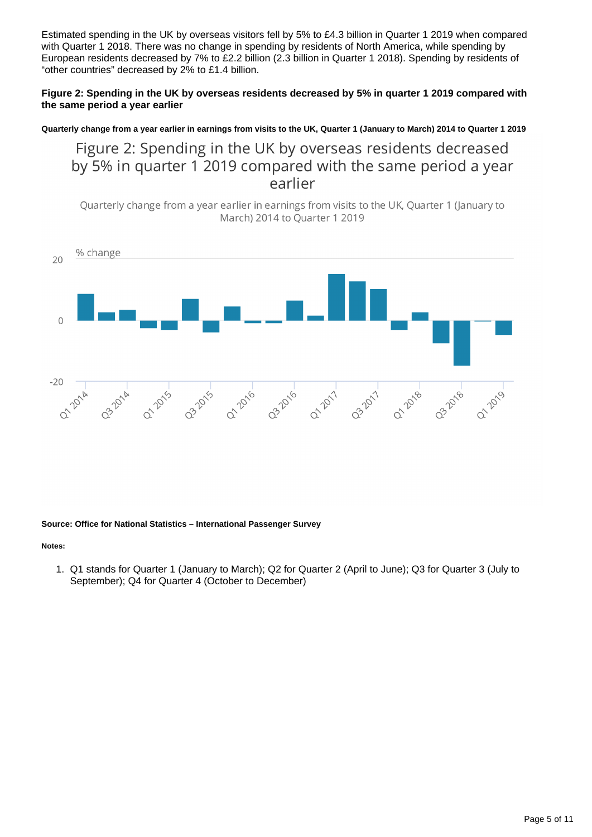Estimated spending in the UK by overseas visitors fell by 5% to £4.3 billion in Quarter 1 2019 when compared with Quarter 1 2018. There was no change in spending by residents of North America, while spending by European residents decreased by 7% to £2.2 billion (2.3 billion in Quarter 1 2018). Spending by residents of "other countries" decreased by 2% to £1.4 billion.

#### **Figure 2: Spending in the UK by overseas residents decreased by 5% in quarter 1 2019 compared with the same period a year earlier**

**Quarterly change from a year earlier in earnings from visits to the UK, Quarter 1 (January to March) 2014 to Quarter 1 2019**

Figure 2: Spending in the UK by overseas residents decreased by 5% in quarter 1 2019 compared with the same period a year earlier

Quarterly change from a year earlier in earnings from visits to the UK, Quarter 1 (January to March) 2014 to Quarter 1 2019



#### **Source: Office for National Statistics – International Passenger Survey**

#### **Notes:**

1. Q1 stands for Quarter 1 (January to March); Q2 for Quarter 2 (April to June); Q3 for Quarter 3 (July to September); Q4 for Quarter 4 (October to December)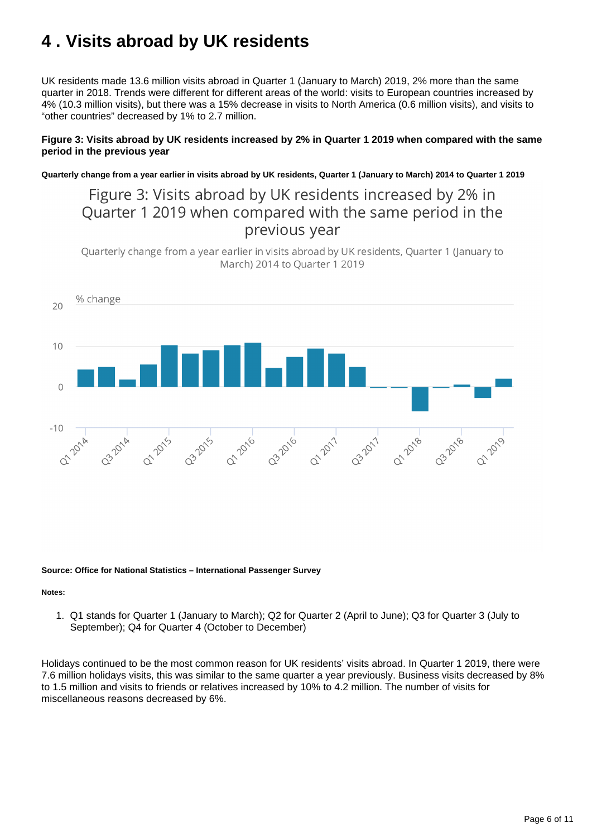## <span id="page-5-0"></span>**4 . Visits abroad by UK residents**

UK residents made 13.6 million visits abroad in Quarter 1 (January to March) 2019, 2% more than the same quarter in 2018. Trends were different for different areas of the world: visits to European countries increased by 4% (10.3 million visits), but there was a 15% decrease in visits to North America (0.6 million visits), and visits to "other countries" decreased by 1% to 2.7 million.

#### **Figure 3: Visits abroad by UK residents increased by 2% in Quarter 1 2019 when compared with the same period in the previous year**

**Quarterly change from a year earlier in visits abroad by UK residents, Quarter 1 (January to March) 2014 to Quarter 1 2019**

### Figure 3: Visits abroad by UK residents increased by 2% in Quarter 1 2019 when compared with the same period in the previous year

Quarterly change from a year earlier in visits abroad by UK residents, Quarter 1 (January to March) 2014 to Quarter 1 2019



#### **Source: Office for National Statistics – International Passenger Survey**

#### **Notes:**

1. Q1 stands for Quarter 1 (January to March); Q2 for Quarter 2 (April to June); Q3 for Quarter 3 (July to September); Q4 for Quarter 4 (October to December)

Holidays continued to be the most common reason for UK residents' visits abroad. In Quarter 1 2019, there were 7.6 million holidays visits, this was similar to the same quarter a year previously. Business visits decreased by 8% to 1.5 million and visits to friends or relatives increased by 10% to 4.2 million. The number of visits for miscellaneous reasons decreased by 6%.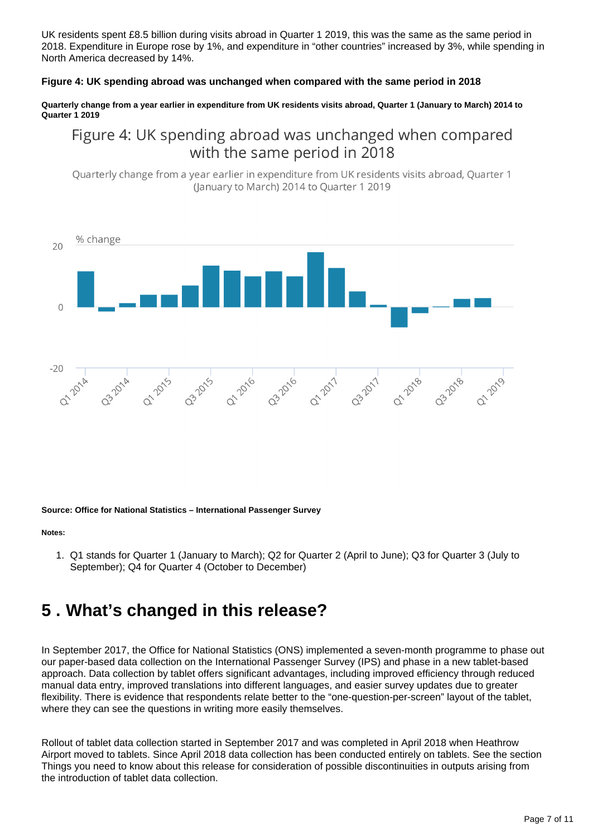UK residents spent £8.5 billion during visits abroad in Quarter 1 2019, this was the same as the same period in 2018. Expenditure in Europe rose by 1%, and expenditure in "other countries" increased by 3%, while spending in North America decreased by 14%.

#### **Figure 4: UK spending abroad was unchanged when compared with the same period in 2018**

**Quarterly change from a year earlier in expenditure from UK residents visits abroad, Quarter 1 (January to March) 2014 to Quarter 1 2019**

### Figure 4: UK spending abroad was unchanged when compared with the same period in 2018

Quarterly change from a year earlier in expenditure from UK residents visits abroad, Quarter 1 (January to March) 2014 to Ouarter 1 2019



#### **Source: Office for National Statistics – International Passenger Survey**

#### **Notes:**

1. Q1 stands for Quarter 1 (January to March); Q2 for Quarter 2 (April to June); Q3 for Quarter 3 (July to September); Q4 for Quarter 4 (October to December)

## <span id="page-6-0"></span>**5 . What's changed in this release?**

In September 2017, the Office for National Statistics (ONS) implemented a seven-month programme to phase out our paper-based data collection on the International Passenger Survey (IPS) and phase in a new tablet-based approach. Data collection by tablet offers significant advantages, including improved efficiency through reduced manual data entry, improved translations into different languages, and easier survey updates due to greater flexibility. There is evidence that respondents relate better to the "one-question-per-screen" layout of the tablet, where they can see the questions in writing more easily themselves.

Rollout of tablet data collection started in September 2017 and was completed in April 2018 when Heathrow Airport moved to tablets. Since April 2018 data collection has been conducted entirely on tablets. See the section Things you need to know about this release for consideration of possible discontinuities in outputs arising from the introduction of tablet data collection.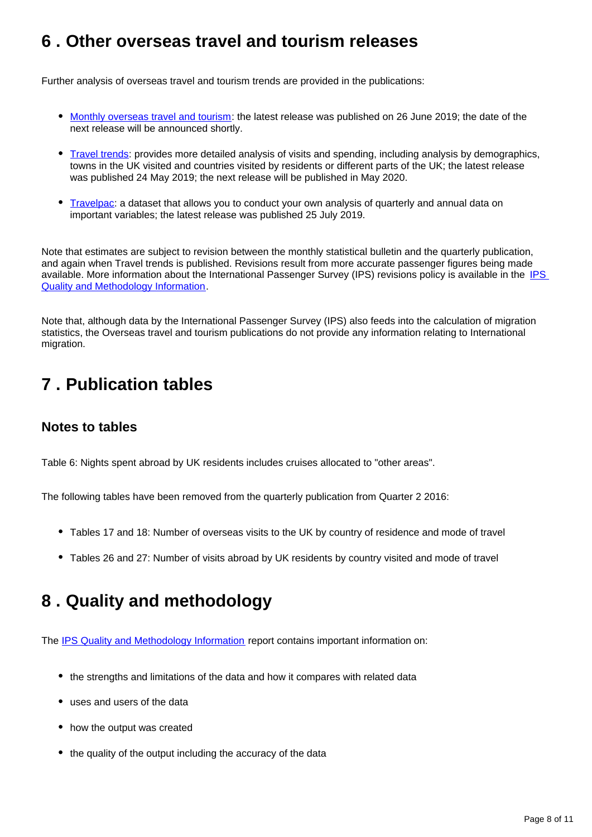### <span id="page-7-0"></span>**6 . Other overseas travel and tourism releases**

Further analysis of overseas travel and tourism trends are provided in the publications:

- [Monthly overseas travel and tourism](https://www.ons.gov.uk/peoplepopulationandcommunity/leisureandtourism/bulletins/overseastravelandtourism/previousReleases): the latest release was published on 26 June 2019; the date of the next release will be announced shortly.
- **[Travel trends:](https://www.ons.gov.uk/peoplepopulationandcommunity/leisureandtourism/articles/traveltrends/2018)** provides more detailed analysis of visits and spending, including analysis by demographics, towns in the UK visited and countries visited by residents or different parts of the UK; the latest release was published 24 May 2019; the next release will be published in May 2020.
- [Travelpac:](https://www.ons.gov.uk/peoplepopulationandcommunity/leisureandtourism/datasets/travelpac) a dataset that allows you to conduct your own analysis of quarterly and annual data on important variables; the latest release was published 25 July 2019.

Note that estimates are subject to revision between the monthly statistical bulletin and the quarterly publication, and again when Travel trends is published. Revisions result from more accurate passenger figures being made available. More information about the International Passenger Survey (IPS) revisions policy is available in the IPS [Quality and Methodology Information](https://www.ons.gov.uk/peoplepopulationandcommunity/leisureandtourism/qmis/internationalpassengersurveyipsqmi).

Note that, although data by the International Passenger Survey (IPS) also feeds into the calculation of migration statistics, the Overseas travel and tourism publications do not provide any information relating to International migration.

## <span id="page-7-1"></span>**7 . Publication tables**

### **Notes to tables**

Table 6: Nights spent abroad by UK residents includes cruises allocated to "other areas".

The following tables have been removed from the quarterly publication from Quarter 2 2016:

- Tables 17 and 18: Number of overseas visits to the UK by country of residence and mode of travel
- Tables 26 and 27: Number of visits abroad by UK residents by country visited and mode of travel

## <span id="page-7-2"></span>**8 . Quality and methodology**

The [IPS Quality and Methodology Information](https://www.ons.gov.uk/peoplepopulationandcommunity/leisureandtourism/qmis/internationalpassengersurveyipsqmi) report contains important information on:

- the strengths and limitations of the data and how it compares with related data
- uses and users of the data
- how the output was created
- the quality of the output including the accuracy of the data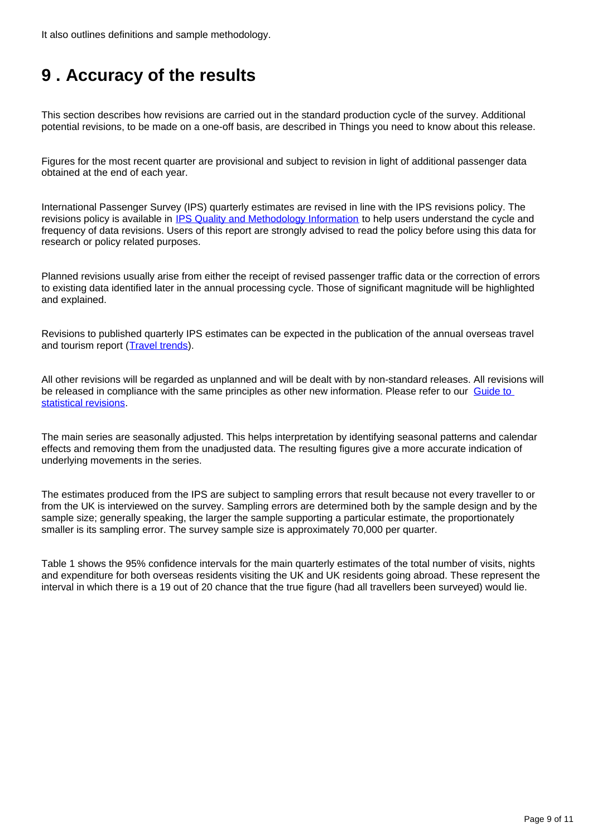It also outlines definitions and sample methodology.

## <span id="page-8-0"></span>**9 . Accuracy of the results**

This section describes how revisions are carried out in the standard production cycle of the survey. Additional potential revisions, to be made on a one-off basis, are described in Things you need to know about this release.

Figures for the most recent quarter are provisional and subject to revision in light of additional passenger data obtained at the end of each year.

International Passenger Survey (IPS) quarterly estimates are revised in line with the IPS revisions policy. The revisions policy is available in [IPS Quality and Methodology Information](https://www.ons.gov.uk/peoplepopulationandcommunity/leisureandtourism/qmis/internationalpassengersurveyipsqmi) to help users understand the cycle and frequency of data revisions. Users of this report are strongly advised to read the policy before using this data for research or policy related purposes.

Planned revisions usually arise from either the receipt of revised passenger traffic data or the correction of errors to existing data identified later in the annual processing cycle. Those of significant magnitude will be highlighted and explained.

Revisions to published quarterly IPS estimates can be expected in the publication of the annual overseas travel and tourism report ([Travel trends](https://www.ons.gov.uk/peoplepopulationandcommunity/leisureandtourism/articles/traveltrends/2018)).

All other revisions will be regarded as unplanned and will be dealt with by non-standard releases. All revisions will be released in compliance with the same principles as other new information. Please refer to our Guide to [statistical revisions](https://www.ons.gov.uk/methodology/methodologytopicsandstatisticalconcepts/revisions).

The main series are seasonally adjusted. This helps interpretation by identifying seasonal patterns and calendar effects and removing them from the unadjusted data. The resulting figures give a more accurate indication of underlying movements in the series.

The estimates produced from the IPS are subject to sampling errors that result because not every traveller to or from the UK is interviewed on the survey. Sampling errors are determined both by the sample design and by the sample size; generally speaking, the larger the sample supporting a particular estimate, the proportionately smaller is its sampling error. The survey sample size is approximately 70,000 per quarter.

Table 1 shows the 95% confidence intervals for the main quarterly estimates of the total number of visits, nights and expenditure for both overseas residents visiting the UK and UK residents going abroad. These represent the interval in which there is a 19 out of 20 chance that the true figure (had all travellers been surveyed) would lie.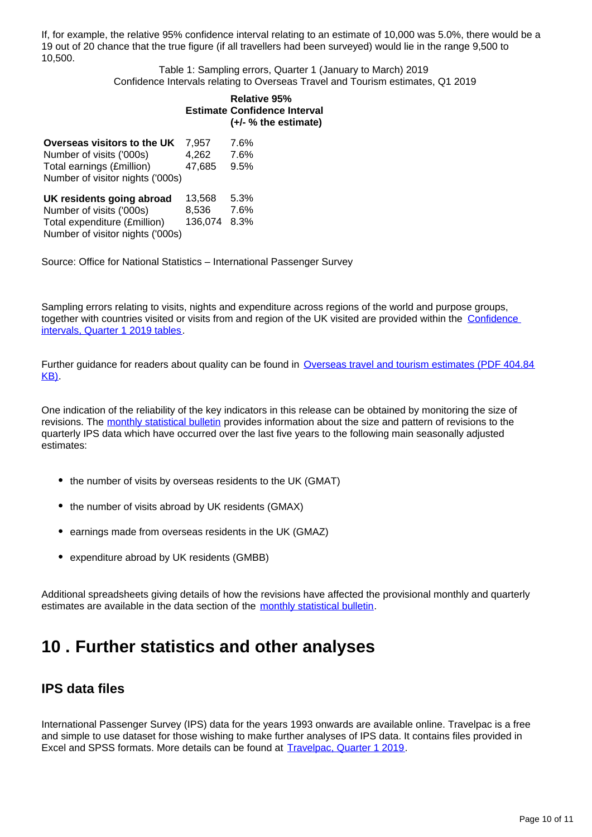If, for example, the relative 95% confidence interval relating to an estimate of 10,000 was 5.0%, there would be a 19 out of 20 chance that the true figure (if all travellers had been surveyed) would lie in the range 9,500 to 10,500.

Table 1: Sampling errors, Quarter 1 (January to March) 2019 Confidence Intervals relating to Overseas Travel and Tourism estimates, Q1 2019

#### **Estimate Confidence Interval Relative 95% (+/- % the estimate)**

| Overseas visitors to the UK      | 7.957  | 7.6% |
|----------------------------------|--------|------|
| Number of visits ('000s)         | 4.262  | 7.6% |
| Total earnings (£million)        | 47.685 | 9.5% |
| Number of visitor nights ('000s) |        |      |

| UK residents going abroad        | 13.568       | 5.3% |
|----------------------------------|--------------|------|
| Number of visits ('000s)         | 8.536        | 7.6% |
| Total expenditure (£million)     | 136,074 8.3% |      |
| Number of visitor nights ('000s) |              |      |

Source: Office for National Statistics – International Passenger Survey

Sampling errors relating to visits, nights and expenditure across regions of the world and purpose groups, together with countries visited or visits from and region of the UK visited are provided within the [Confidence](https://www.ons.gov.uk/peoplepopulationandcommunity/leisureandtourism/datasets/quarterlyoverseastravelandtourismconfidenceintervals)  [intervals, Quarter 1 2019 tables](https://www.ons.gov.uk/peoplepopulationandcommunity/leisureandtourism/datasets/quarterlyoverseastravelandtourismconfidenceintervals).

Further guidance for readers about quality can be found in [Overseas travel and tourism estimates \(PDF 404.84](http://webarchive.nationalarchives.gov.uk/20160105160709/http://www.ons.gov.uk/ons/guide-method/method-quality/specific/travel-and-transport-methodology/international-passenger-survey-methodology/international-passenger-survey-quality-information-in-relation-to-ott-estimates.pdf)) [KB\).](http://webarchive.nationalarchives.gov.uk/20160105160709/http://www.ons.gov.uk/ons/guide-method/method-quality/specific/travel-and-transport-methodology/international-passenger-survey-methodology/international-passenger-survey-quality-information-in-relation-to-ott-estimates.pdf)

One indication of the reliability of the key indicators in this release can be obtained by monitoring the size of revisions. The [monthly statistical bulletin](https://www.ons.gov.uk/peoplepopulationandcommunity/leisureandtourism/bulletins/overseastravelandtourism/previousReleases) provides information about the size and pattern of revisions to the quarterly IPS data which have occurred over the last five years to the following main seasonally adjusted estimates:

- the number of visits by overseas residents to the UK (GMAT)
- the number of visits abroad by UK residents (GMAX)
- earnings made from overseas residents in the UK (GMAZ)
- expenditure abroad by UK residents (GMBB)

Additional spreadsheets giving details of how the revisions have affected the provisional monthly and quarterly estimates are available in the data section of the [monthly statistical bulletin](https://www.ons.gov.uk/peoplepopulationandcommunity/leisureandtourism/bulletins/overseastravelandtourism/previousReleases).

### <span id="page-9-0"></span>**10 . Further statistics and other analyses**

### **IPS data files**

International Passenger Survey (IPS) data for the years 1993 onwards are available online. Travelpac is a free and simple to use dataset for those wishing to make further analyses of IPS data. It contains files provided in Excel and SPSS formats. More details can be found at [Travelpac, Quarter 1 2019](https://www.ons.gov.uk/peoplepopulationandcommunity/leisureandtourism/datasets/travelpac).